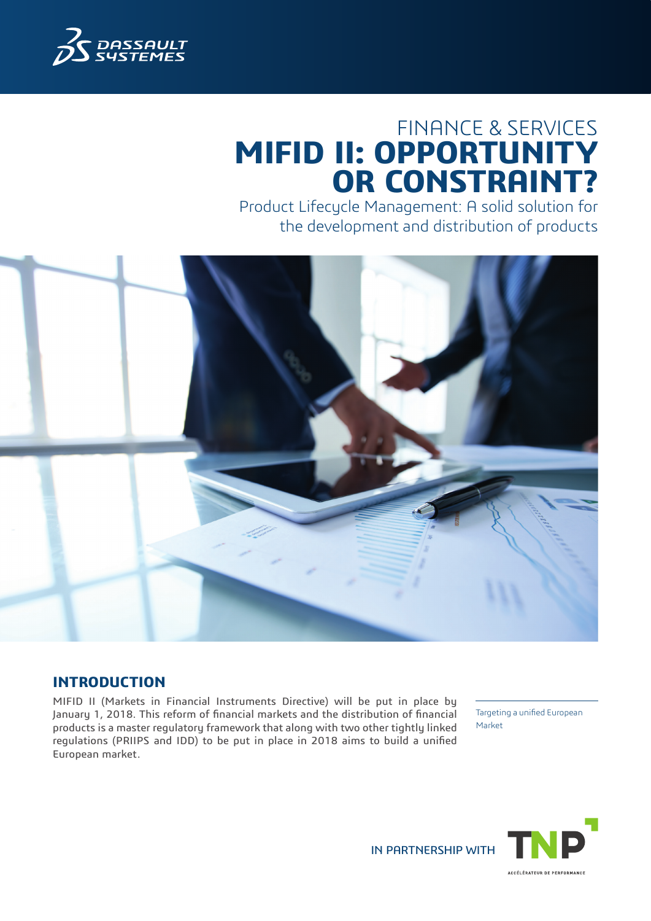

# FINANCE & SERVICES **MIFID II: OPPORTUNITY OR CONSTRAINT?**

Product Lifecycle Management: A solid solution for the development and distribution of products



## **INTRODUCTION**

MIFID II (Markets in Financial Instruments Directive) will be put in place by January 1, 2018. This reform of financial markets and the distribution of financial products is a master regulatory framework that along with two other tightly linked regulations (PRIIPS and IDD) to be put in place in 2018 aims to build a unified European market.

Targeting a unified European Market



IN PARTNERSHIP WITH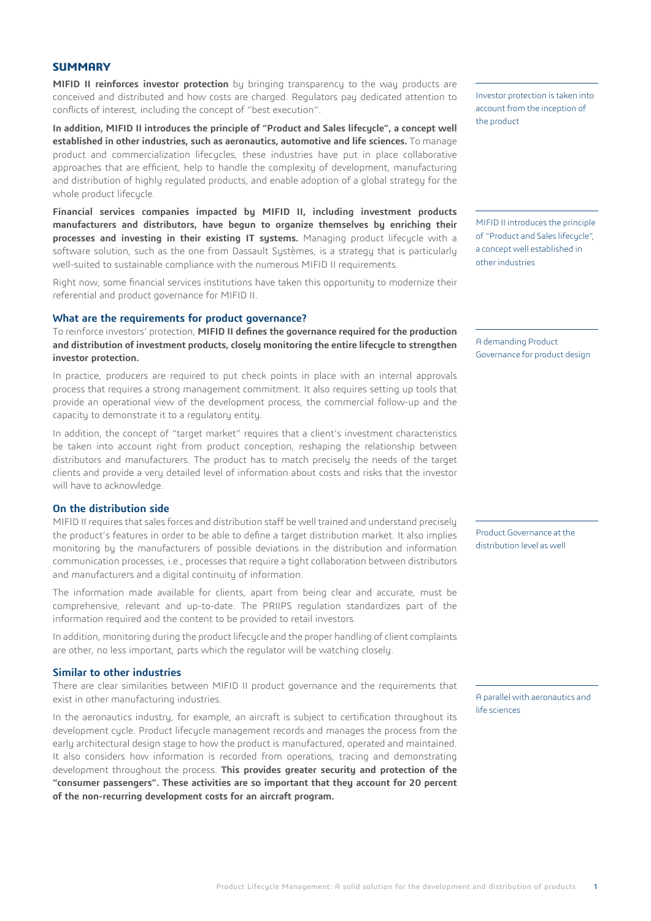#### **SUMMARY**

**MIFID II reinforces investor protection** by bringing transparency to the way products are conceived and distributed and how costs are charged. Regulators pay dedicated attention to conflicts of interest, including the concept of "best execution".

**In addition, MIFID II introduces the principle of "Product and Sales lifecycle", a concept well established in other industries, such as aeronautics, automotive and life sciences.** To manage product and commercialization lifecycles, these industries have put in place collaborative approaches that are efficient, help to handle the complexity of development, manufacturing and distribution of highly regulated products, and enable adoption of a global strategy for the whole product lifecucle.

**Financial services companies impacted by MIFID II, including investment products manufacturers and distributors, have begun to organize themselves by enriching their processes and investing in their existing IT systems.** Managing product lifecycle with a software solution, such as the one from Dassault Systèmes, is a strategy that is particularly well-suited to sustainable compliance with the numerous MIFID II requirements.

Right now, some financial services institutions have taken this opportunity to modernize their referential and product governance for MIFID II.

#### **What are the requirements for product governance?**

To reinforce investors' protection, **MIFID II defines the governance required for the production and distribution of investment products, closely monitoring the entire lifecycle to strengthen investor protection.**

In practice, producers are required to put check points in place with an internal approvals process that requires a strong management commitment. It also requires setting up tools that provide an operational view of the development process, the commercial follow-up and the capacity to demonstrate it to a regulatory entity.

In addition, the concept of "target market" requires that a client's investment characteristics be taken into account right from product conception, reshaping the relationship between distributors and manufacturers. The product has to match precisely the needs of the target clients and provide a very detailed level of information about costs and risks that the investor will have to acknowledge.

#### **On the distribution side**

MIFID II requires that sales forces and distribution staff be well trained and understand precisely the product's features in order to be able to define a target distribution market. It also implies monitoring by the manufacturers of possible deviations in the distribution and information communication processes, i.e., processes that require a tight collaboration between distributors and manufacturers and a digital continuity of information.

The information made available for clients, apart from being clear and accurate, must be comprehensive, relevant and up-to-date. The PRIIPS regulation standardizes part of the information required and the content to be provided to retail investors.

In addition, monitoring during the product lifecycle and the proper handling of client complaints are other, no less important, parts which the regulator will be watching closely.

#### **Similar to other industries**

There are clear similarities between MIFID II product governance and the requirements that exist in other manufacturing industries.

In the aeronautics industry, for example, an aircraft is subject to certification throughout its development cycle. Product lifecycle management records and manages the process from the early architectural design stage to how the product is manufactured, operated and maintained. It also considers how information is recorded from operations, tracing and demonstrating development throughout the process. **This provides greater security and protection of the "consumer passengers". These activities are so important that they account for 20 percent of the non-recurring development costs for an aircraft program.**

Investor protection is taken into account from the inception of the product

MIFID II introduces the principle of "Product and Sales lifecucle". a concept well established in other industries

A demanding Product Governance for product design

Product Governance at the distribution level as well

A parallel with aeronautics and life sciences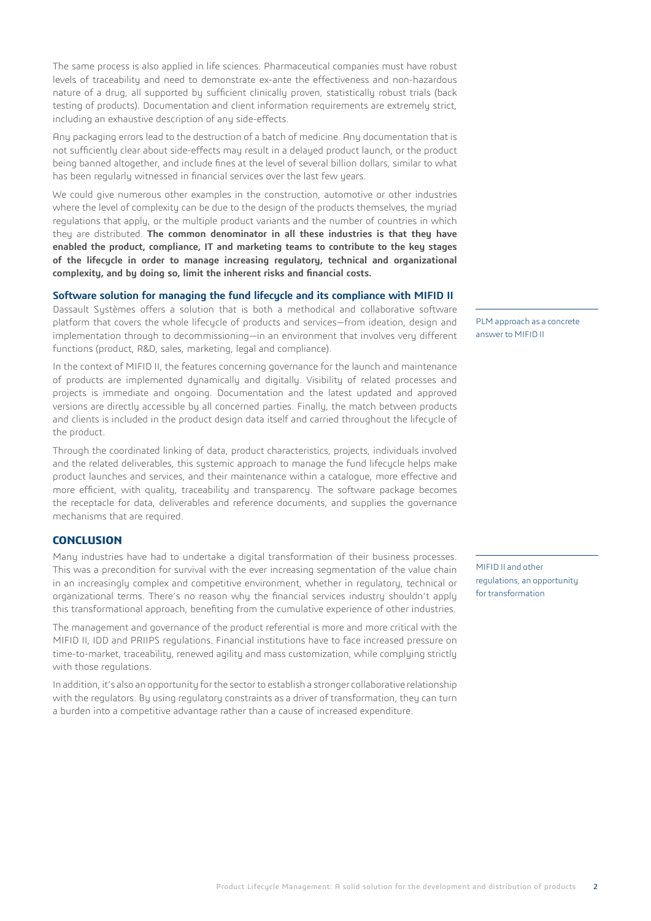The same process is also applied in life sciences. Pharmaceutical companies must have robust levels of traceability and need to demonstrate ex-ante the effectiveness and non-hazardous nature of a drug, all supported by sufficient clinically proven, statistically robust trials (back testing of products). Documentation and client information requirements are extremely strict, including an exhaustive description of any side-effects.

Any packaging errors lead to the destruction of a batch of medicine. Any documentation that is not sufficiently clear about side-effects may result in a delayed product launch, or the product being banned altogether, and include fines at the level of several billion dollars, similar to what has been regularly witnessed in financial services over the last few years.

We could give numerous other examples in the construction, automotive or other industries where the level of complexity can be due to the design of the products themselves, the myriad regulations that apply, or the multiple product variants and the number of countries in which they are distributed. **The common denominator in all these industries is that they have enabled the product, compliance, IT and marketing teams to contribute to the key stages of the lifecycle in order to manage increasing regulatory, technical and organizational complexity, and by doing so, limit the inherent risks and financial costs.**

#### **Software solution for managing the fund lifecycle and its compliance with MIFID II**

Dassault Sustèmes offers a solution that is both a methodical and collaborative software platform that covers the whole lifecucle of products and services—from ideation, design and implementation through to decommissioning—in an environment that involves very different functions (product, R&D, sales, marketing, legal and compliance).

In the context of MIFID II, the features concerning governance for the launch and maintenance of products are implemented dynamically and digitally. Visibility of related processes and projects is immediate and ongoing. Documentation and the latest updated and approved versions are directly accessible by all concerned parties. Finally, the match between products and clients is included in the product design data itself and carried throughout the lifecycle of the product.

Through the coordinated linking of data, product characteristics, projects, individuals involved and the related deliverables, this systemic approach to manage the fund lifecycle helps make product launches and services, and their maintenance within a catalogue, more effective and more efficient, with quality, traceability and transparency. The software package becomes the receptacle for data, deliverables and reference documents, and supplies the governance mechanisms that are required.

#### **CONCLUSION**

Many industries have had to undertake a digital transformation of their business processes. This was a precondition for survival with the ever increasing segmentation of the value chain in an increasingly complex and competitive environment, whether in regulatory, technical or organizational terms. There's no reason why the financial services industry shouldn't apply this transformational approach, benefiting from the cumulative experience of other industries.

The management and governance of the product referential is more and more critical with the MIFID II, IDD and PRIIPS regulations. Financial institutions have to face increased pressure on time-to-market, traceability, renewed agility and mass customization, while complying strictly with those regulations.

In addition, it's also an opportunity for the sector to establish a stronger collaborative relationship with the regulators. By using regulatory constraints as a driver of transformation, they can turn a burden into a competitive advantage rather than a cause of increased expenditure.

PLM approach as a concrete answer to MIFID II

MIFID II and other regulations, an opportunity for transformation